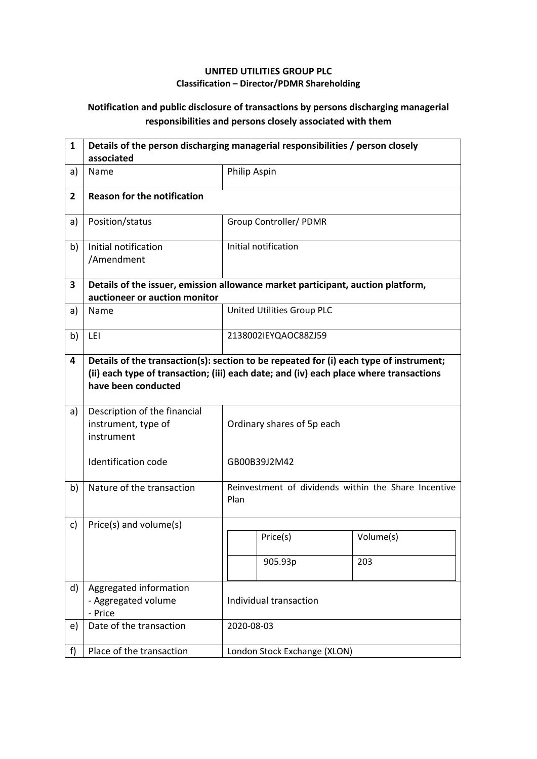## **UNITED UTILITIES GROUP PLC Classification – Director/PDMR Shareholding**

## **Notification and public disclosure of transactions by persons discharging managerial responsibilities and persons closely associated with them**

| $\mathbf{1}$   | Details of the person discharging managerial responsibilities / person closely<br>associated                                                                                                            |                                                              |                            |           |  |
|----------------|---------------------------------------------------------------------------------------------------------------------------------------------------------------------------------------------------------|--------------------------------------------------------------|----------------------------|-----------|--|
| a)             | Name                                                                                                                                                                                                    | Philip Aspin                                                 |                            |           |  |
| $\overline{2}$ | <b>Reason for the notification</b>                                                                                                                                                                      |                                                              |                            |           |  |
| a)             | Position/status                                                                                                                                                                                         |                                                              | Group Controller/ PDMR     |           |  |
| b)             | Initial notification<br>/Amendment                                                                                                                                                                      |                                                              | Initial notification       |           |  |
| 3              | Details of the issuer, emission allowance market participant, auction platform,<br>auctioneer or auction monitor                                                                                        |                                                              |                            |           |  |
| a)             | Name                                                                                                                                                                                                    |                                                              | United Utilities Group PLC |           |  |
| b)             | LEI                                                                                                                                                                                                     |                                                              | 2138002IEYQAOC88ZJ59       |           |  |
| 4              | Details of the transaction(s): section to be repeated for (i) each type of instrument;<br>(ii) each type of transaction; (iii) each date; and (iv) each place where transactions<br>have been conducted |                                                              |                            |           |  |
| a)             | Description of the financial<br>instrument, type of<br>instrument                                                                                                                                       | Ordinary shares of 5p each                                   |                            |           |  |
|                | <b>Identification code</b>                                                                                                                                                                              | GB00B39J2M42                                                 |                            |           |  |
| b)             | Nature of the transaction                                                                                                                                                                               | Reinvestment of dividends within the Share Incentive<br>Plan |                            |           |  |
| c)             | Price(s) and volume(s)                                                                                                                                                                                  |                                                              |                            |           |  |
|                |                                                                                                                                                                                                         |                                                              | Price(s)                   | Volume(s) |  |
|                |                                                                                                                                                                                                         |                                                              | 905.93p                    | 203       |  |
| d)             | Aggregated information<br>- Aggregated volume<br>- Price                                                                                                                                                | Individual transaction                                       |                            |           |  |
| e)             | Date of the transaction                                                                                                                                                                                 |                                                              | 2020-08-03                 |           |  |
| f)             | Place of the transaction                                                                                                                                                                                | London Stock Exchange (XLON)                                 |                            |           |  |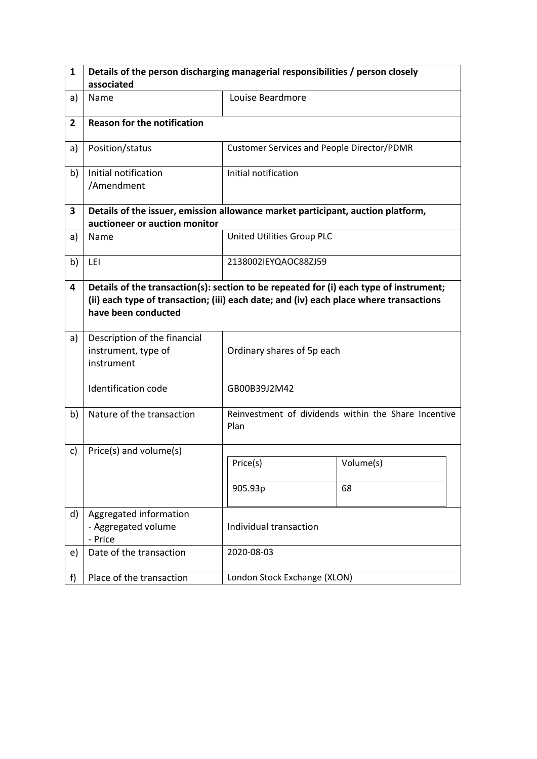| $\mathbf{1}$   | Details of the person discharging managerial responsibilities / person closely                                                                                                                          |                                                   |                                                      |  |  |  |
|----------------|---------------------------------------------------------------------------------------------------------------------------------------------------------------------------------------------------------|---------------------------------------------------|------------------------------------------------------|--|--|--|
|                | associated                                                                                                                                                                                              |                                                   |                                                      |  |  |  |
| a)             | Name                                                                                                                                                                                                    | Louise Beardmore                                  |                                                      |  |  |  |
| $\overline{2}$ | <b>Reason for the notification</b>                                                                                                                                                                      |                                                   |                                                      |  |  |  |
| a)             | Position/status                                                                                                                                                                                         | <b>Customer Services and People Director/PDMR</b> |                                                      |  |  |  |
| b)             | Initial notification<br>/Amendment                                                                                                                                                                      | Initial notification                              |                                                      |  |  |  |
| 3              | Details of the issuer, emission allowance market participant, auction platform,                                                                                                                         |                                                   |                                                      |  |  |  |
|                | auctioneer or auction monitor                                                                                                                                                                           |                                                   |                                                      |  |  |  |
| a)             | Name                                                                                                                                                                                                    | United Utilities Group PLC                        |                                                      |  |  |  |
| b)             | LEI                                                                                                                                                                                                     | 2138002IEYQAOC88ZJ59                              |                                                      |  |  |  |
| 4              | Details of the transaction(s): section to be repeated for (i) each type of instrument;<br>(ii) each type of transaction; (iii) each date; and (iv) each place where transactions<br>have been conducted |                                                   |                                                      |  |  |  |
| a)             | Description of the financial<br>instrument, type of<br>instrument                                                                                                                                       | Ordinary shares of 5p each                        |                                                      |  |  |  |
|                | <b>Identification code</b>                                                                                                                                                                              | GB00B39J2M42                                      |                                                      |  |  |  |
| b)             | Nature of the transaction                                                                                                                                                                               | Plan                                              | Reinvestment of dividends within the Share Incentive |  |  |  |
| c)             | Price(s) and volume(s)                                                                                                                                                                                  |                                                   |                                                      |  |  |  |
|                |                                                                                                                                                                                                         | Price(s)                                          | Volume(s)                                            |  |  |  |
|                |                                                                                                                                                                                                         | 905.93p                                           | 68                                                   |  |  |  |
| d)             | Aggregated information<br>- Aggregated volume<br>- Price                                                                                                                                                | Individual transaction                            |                                                      |  |  |  |
| e)             | Date of the transaction                                                                                                                                                                                 | 2020-08-03                                        |                                                      |  |  |  |
| f              | Place of the transaction                                                                                                                                                                                | London Stock Exchange (XLON)                      |                                                      |  |  |  |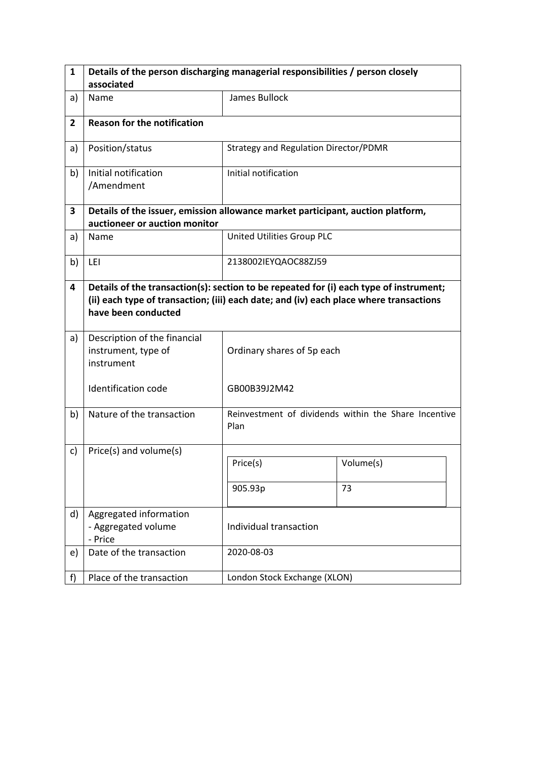| $\mathbf{1}$   | Details of the person discharging managerial responsibilities / person closely                                                                                                                          |                                       |                                                      |  |  |  |
|----------------|---------------------------------------------------------------------------------------------------------------------------------------------------------------------------------------------------------|---------------------------------------|------------------------------------------------------|--|--|--|
|                | associated                                                                                                                                                                                              |                                       |                                                      |  |  |  |
| a)             | Name                                                                                                                                                                                                    | James Bullock                         |                                                      |  |  |  |
| $\overline{2}$ | <b>Reason for the notification</b>                                                                                                                                                                      |                                       |                                                      |  |  |  |
| a)             | Position/status                                                                                                                                                                                         | Strategy and Regulation Director/PDMR |                                                      |  |  |  |
| b)             | Initial notification<br>/Amendment                                                                                                                                                                      | Initial notification                  |                                                      |  |  |  |
| 3              | Details of the issuer, emission allowance market participant, auction platform,                                                                                                                         |                                       |                                                      |  |  |  |
|                | auctioneer or auction monitor                                                                                                                                                                           |                                       |                                                      |  |  |  |
| a)             | Name                                                                                                                                                                                                    | United Utilities Group PLC            |                                                      |  |  |  |
| b)             | LEI                                                                                                                                                                                                     | 2138002IEYQAOC88ZJ59                  |                                                      |  |  |  |
| 4              | Details of the transaction(s): section to be repeated for (i) each type of instrument;<br>(ii) each type of transaction; (iii) each date; and (iv) each place where transactions<br>have been conducted |                                       |                                                      |  |  |  |
| a)             | Description of the financial<br>instrument, type of<br>instrument                                                                                                                                       | Ordinary shares of 5p each            |                                                      |  |  |  |
|                | Identification code                                                                                                                                                                                     | GB00B39J2M42                          |                                                      |  |  |  |
| b)             | Nature of the transaction                                                                                                                                                                               | Plan                                  | Reinvestment of dividends within the Share Incentive |  |  |  |
| c)             | Price(s) and volume(s)                                                                                                                                                                                  |                                       |                                                      |  |  |  |
|                |                                                                                                                                                                                                         | Price(s)                              | Volume(s)                                            |  |  |  |
|                |                                                                                                                                                                                                         | 905.93p                               | 73                                                   |  |  |  |
| d)             | Aggregated information<br>- Aggregated volume<br>- Price                                                                                                                                                | Individual transaction                |                                                      |  |  |  |
| e)             | Date of the transaction                                                                                                                                                                                 | 2020-08-03                            |                                                      |  |  |  |
| f              | Place of the transaction                                                                                                                                                                                | London Stock Exchange (XLON)          |                                                      |  |  |  |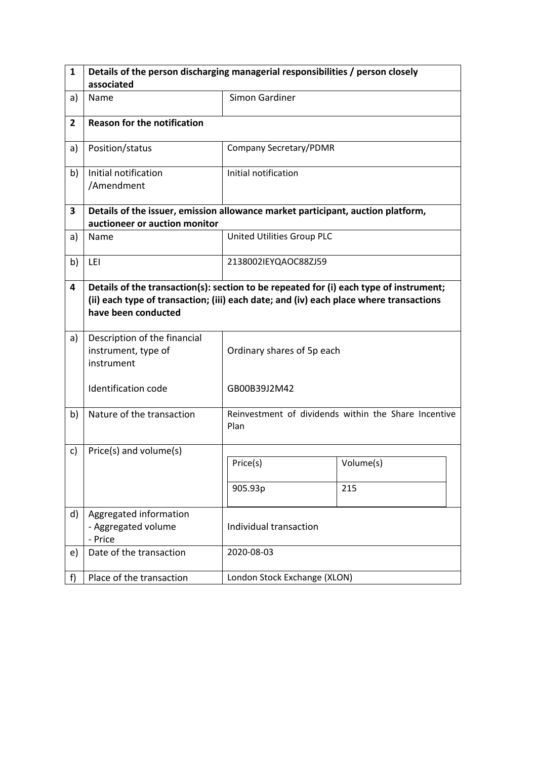| $\mathbf{1}$   | Details of the person discharging managerial responsibilities / person closely                                                                                                                          |                              |                                                      |  |  |  |
|----------------|---------------------------------------------------------------------------------------------------------------------------------------------------------------------------------------------------------|------------------------------|------------------------------------------------------|--|--|--|
|                | associated                                                                                                                                                                                              |                              |                                                      |  |  |  |
| a)             | Name                                                                                                                                                                                                    | Simon Gardiner               |                                                      |  |  |  |
| $\overline{2}$ | <b>Reason for the notification</b>                                                                                                                                                                      |                              |                                                      |  |  |  |
| a)             | Position/status                                                                                                                                                                                         | Company Secretary/PDMR       |                                                      |  |  |  |
| b)             | Initial notification<br>/Amendment                                                                                                                                                                      | Initial notification         |                                                      |  |  |  |
| 3              | Details of the issuer, emission allowance market participant, auction platform,                                                                                                                         |                              |                                                      |  |  |  |
|                | auctioneer or auction monitor                                                                                                                                                                           |                              |                                                      |  |  |  |
| a)             | Name                                                                                                                                                                                                    | United Utilities Group PLC   |                                                      |  |  |  |
| b)             | LEI                                                                                                                                                                                                     | 2138002IEYQAOC88ZJ59         |                                                      |  |  |  |
| 4              | Details of the transaction(s): section to be repeated for (i) each type of instrument;<br>(ii) each type of transaction; (iii) each date; and (iv) each place where transactions<br>have been conducted |                              |                                                      |  |  |  |
| a)             | Description of the financial<br>instrument, type of<br>instrument                                                                                                                                       | Ordinary shares of 5p each   |                                                      |  |  |  |
|                | Identification code                                                                                                                                                                                     | GB00B39J2M42                 |                                                      |  |  |  |
| b)             | Nature of the transaction                                                                                                                                                                               | Plan                         | Reinvestment of dividends within the Share Incentive |  |  |  |
| c)             | Price(s) and volume(s)                                                                                                                                                                                  |                              |                                                      |  |  |  |
|                |                                                                                                                                                                                                         | Price(s)                     | Volume(s)                                            |  |  |  |
|                |                                                                                                                                                                                                         | 905.93p                      | 215                                                  |  |  |  |
| d)             | Aggregated information<br>- Aggregated volume<br>- Price                                                                                                                                                | Individual transaction       |                                                      |  |  |  |
| e)             | Date of the transaction                                                                                                                                                                                 | 2020-08-03                   |                                                      |  |  |  |
| f              | Place of the transaction                                                                                                                                                                                | London Stock Exchange (XLON) |                                                      |  |  |  |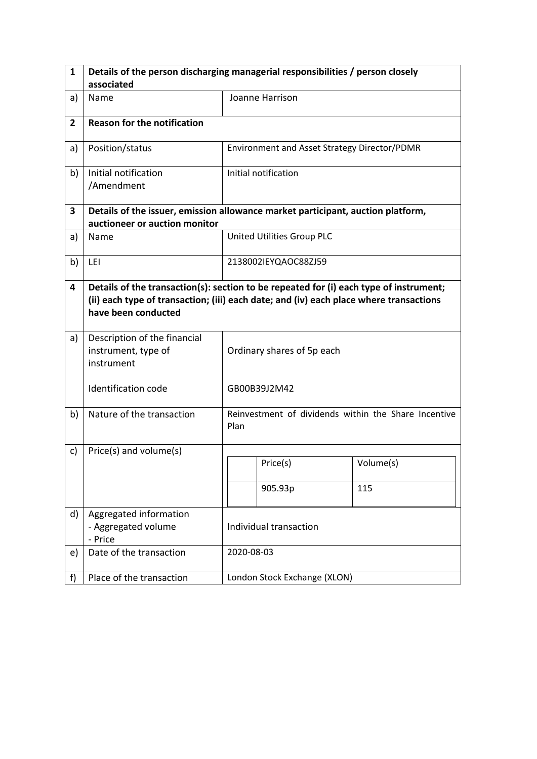| 1              | Details of the person discharging managerial responsibilities / person closely                                                                                                                          |                                                              |                                              |           |  |  |
|----------------|---------------------------------------------------------------------------------------------------------------------------------------------------------------------------------------------------------|--------------------------------------------------------------|----------------------------------------------|-----------|--|--|
|                | associated                                                                                                                                                                                              |                                                              |                                              |           |  |  |
| a)             | Name                                                                                                                                                                                                    |                                                              | Joanne Harrison                              |           |  |  |
| $\overline{2}$ | <b>Reason for the notification</b>                                                                                                                                                                      |                                                              |                                              |           |  |  |
| a)             | Position/status                                                                                                                                                                                         |                                                              | Environment and Asset Strategy Director/PDMR |           |  |  |
| b)             | Initial notification<br>/Amendment                                                                                                                                                                      |                                                              | Initial notification                         |           |  |  |
| 3              | Details of the issuer, emission allowance market participant, auction platform,                                                                                                                         |                                                              |                                              |           |  |  |
|                | auctioneer or auction monitor                                                                                                                                                                           |                                                              |                                              |           |  |  |
| a)             | Name                                                                                                                                                                                                    |                                                              | United Utilities Group PLC                   |           |  |  |
| b)             | LEI                                                                                                                                                                                                     |                                                              | 2138002IEYQAOC88ZJ59                         |           |  |  |
| 4              | Details of the transaction(s): section to be repeated for (i) each type of instrument;<br>(ii) each type of transaction; (iii) each date; and (iv) each place where transactions<br>have been conducted |                                                              |                                              |           |  |  |
| a)             | Description of the financial<br>instrument, type of<br>instrument                                                                                                                                       | Ordinary shares of 5p each                                   |                                              |           |  |  |
|                | <b>Identification code</b>                                                                                                                                                                              | GB00B39J2M42                                                 |                                              |           |  |  |
| b)             | Nature of the transaction                                                                                                                                                                               | Reinvestment of dividends within the Share Incentive<br>Plan |                                              |           |  |  |
| c)             | Price(s) and volume(s)                                                                                                                                                                                  |                                                              |                                              |           |  |  |
|                |                                                                                                                                                                                                         |                                                              | Price(s)                                     | Volume(s) |  |  |
|                |                                                                                                                                                                                                         |                                                              | 905.93p                                      | 115       |  |  |
| d)             | Aggregated information<br>- Aggregated volume<br>- Price                                                                                                                                                | Individual transaction                                       |                                              |           |  |  |
| e)             | Date of the transaction                                                                                                                                                                                 | 2020-08-03                                                   |                                              |           |  |  |
| f)             | Place of the transaction                                                                                                                                                                                | London Stock Exchange (XLON)                                 |                                              |           |  |  |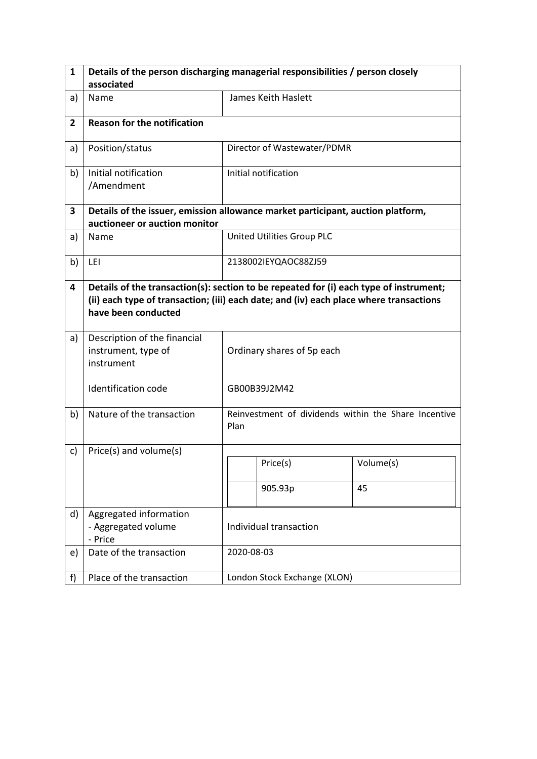| 1              | Details of the person discharging managerial responsibilities / person closely                                                                                                                          |                                                              |                             |           |  |  |
|----------------|---------------------------------------------------------------------------------------------------------------------------------------------------------------------------------------------------------|--------------------------------------------------------------|-----------------------------|-----------|--|--|
|                | associated                                                                                                                                                                                              |                                                              |                             |           |  |  |
| a)             | Name                                                                                                                                                                                                    |                                                              | James Keith Haslett         |           |  |  |
| $\overline{2}$ | <b>Reason for the notification</b>                                                                                                                                                                      |                                                              |                             |           |  |  |
| a)             | Position/status                                                                                                                                                                                         |                                                              | Director of Wastewater/PDMR |           |  |  |
| b)             | Initial notification<br>/Amendment                                                                                                                                                                      |                                                              | Initial notification        |           |  |  |
| 3              | Details of the issuer, emission allowance market participant, auction platform,                                                                                                                         |                                                              |                             |           |  |  |
|                | auctioneer or auction monitor                                                                                                                                                                           |                                                              |                             |           |  |  |
| a)             | Name                                                                                                                                                                                                    |                                                              | United Utilities Group PLC  |           |  |  |
| b)             | LEI                                                                                                                                                                                                     |                                                              | 2138002IEYQAOC88ZJ59        |           |  |  |
| 4              | Details of the transaction(s): section to be repeated for (i) each type of instrument;<br>(ii) each type of transaction; (iii) each date; and (iv) each place where transactions<br>have been conducted |                                                              |                             |           |  |  |
| a)             | Description of the financial<br>instrument, type of<br>instrument                                                                                                                                       | Ordinary shares of 5p each                                   |                             |           |  |  |
|                | <b>Identification code</b>                                                                                                                                                                              | GB00B39J2M42                                                 |                             |           |  |  |
| b)             | Nature of the transaction                                                                                                                                                                               | Reinvestment of dividends within the Share Incentive<br>Plan |                             |           |  |  |
| c)             | Price(s) and volume(s)                                                                                                                                                                                  |                                                              |                             |           |  |  |
|                |                                                                                                                                                                                                         |                                                              | Price(s)                    | Volume(s) |  |  |
|                |                                                                                                                                                                                                         |                                                              | 905.93p                     | 45        |  |  |
| d)             | Aggregated information<br>- Aggregated volume<br>- Price                                                                                                                                                | Individual transaction                                       |                             |           |  |  |
| e)             | Date of the transaction                                                                                                                                                                                 | 2020-08-03                                                   |                             |           |  |  |
| f)             | Place of the transaction                                                                                                                                                                                | London Stock Exchange (XLON)                                 |                             |           |  |  |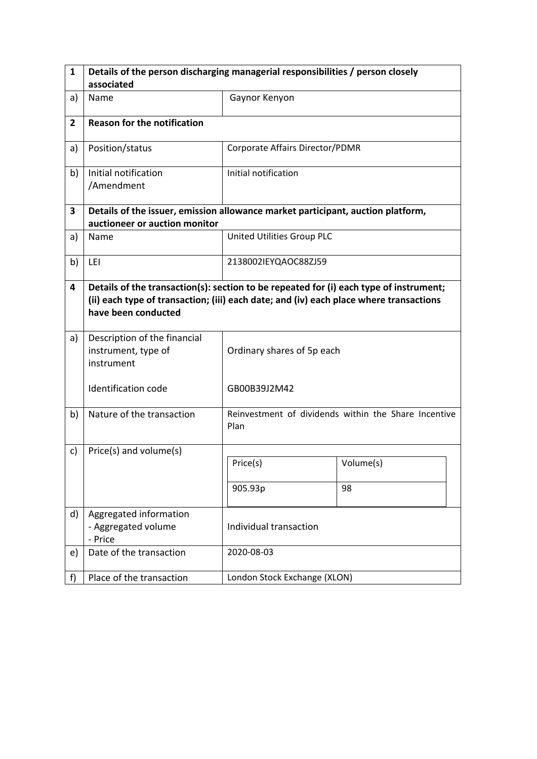| $\mathbf{1}$   | Details of the person discharging managerial responsibilities / person closely                                                                                                                          |                                 |                                                      |  |  |  |
|----------------|---------------------------------------------------------------------------------------------------------------------------------------------------------------------------------------------------------|---------------------------------|------------------------------------------------------|--|--|--|
|                | associated                                                                                                                                                                                              |                                 |                                                      |  |  |  |
| a)             | Name                                                                                                                                                                                                    | Gaynor Kenyon                   |                                                      |  |  |  |
| $\overline{2}$ | <b>Reason for the notification</b>                                                                                                                                                                      |                                 |                                                      |  |  |  |
| a)             | Position/status                                                                                                                                                                                         | Corporate Affairs Director/PDMR |                                                      |  |  |  |
| b)             | Initial notification<br>/Amendment                                                                                                                                                                      | Initial notification            |                                                      |  |  |  |
| 3              | Details of the issuer, emission allowance market participant, auction platform,                                                                                                                         |                                 |                                                      |  |  |  |
|                | auctioneer or auction monitor                                                                                                                                                                           |                                 |                                                      |  |  |  |
| a)             | Name                                                                                                                                                                                                    | United Utilities Group PLC      |                                                      |  |  |  |
| b)             | LEI                                                                                                                                                                                                     | 2138002IEYQAOC88ZJ59            |                                                      |  |  |  |
| 4              | Details of the transaction(s): section to be repeated for (i) each type of instrument;<br>(ii) each type of transaction; (iii) each date; and (iv) each place where transactions<br>have been conducted |                                 |                                                      |  |  |  |
| a)             | Description of the financial<br>instrument, type of<br>instrument                                                                                                                                       | Ordinary shares of 5p each      |                                                      |  |  |  |
|                | Identification code                                                                                                                                                                                     | GB00B39J2M42                    |                                                      |  |  |  |
| b)             | Nature of the transaction                                                                                                                                                                               | Plan                            | Reinvestment of dividends within the Share Incentive |  |  |  |
| c)             | Price(s) and volume(s)                                                                                                                                                                                  |                                 |                                                      |  |  |  |
|                |                                                                                                                                                                                                         | Price(s)                        | Volume(s)                                            |  |  |  |
|                |                                                                                                                                                                                                         | 905.93p                         | 98                                                   |  |  |  |
| d)             | Aggregated information<br>- Aggregated volume<br>- Price                                                                                                                                                | Individual transaction          |                                                      |  |  |  |
| e)             | Date of the transaction                                                                                                                                                                                 | 2020-08-03                      |                                                      |  |  |  |
| f              | Place of the transaction                                                                                                                                                                                | London Stock Exchange (XLON)    |                                                      |  |  |  |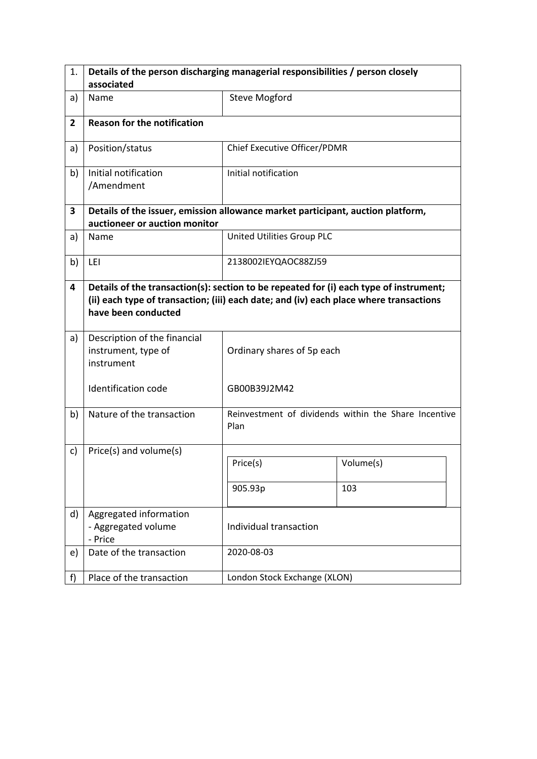| 1.             | Details of the person discharging managerial responsibilities / person closely                                                                                                                          |                              |                                                      |  |  |  |
|----------------|---------------------------------------------------------------------------------------------------------------------------------------------------------------------------------------------------------|------------------------------|------------------------------------------------------|--|--|--|
|                | associated                                                                                                                                                                                              |                              |                                                      |  |  |  |
| a)             | Name                                                                                                                                                                                                    | <b>Steve Mogford</b>         |                                                      |  |  |  |
| $\overline{2}$ | <b>Reason for the notification</b>                                                                                                                                                                      |                              |                                                      |  |  |  |
| a)             | Position/status                                                                                                                                                                                         | Chief Executive Officer/PDMR |                                                      |  |  |  |
| b)             | Initial notification<br>/Amendment                                                                                                                                                                      | Initial notification         |                                                      |  |  |  |
| 3              | Details of the issuer, emission allowance market participant, auction platform,                                                                                                                         |                              |                                                      |  |  |  |
|                | auctioneer or auction monitor                                                                                                                                                                           |                              |                                                      |  |  |  |
| a)             | Name                                                                                                                                                                                                    | United Utilities Group PLC   |                                                      |  |  |  |
| b)             | LEI                                                                                                                                                                                                     | 2138002IEYQAOC88ZJ59         |                                                      |  |  |  |
| 4              | Details of the transaction(s): section to be repeated for (i) each type of instrument;<br>(ii) each type of transaction; (iii) each date; and (iv) each place where transactions<br>have been conducted |                              |                                                      |  |  |  |
| a)             | Description of the financial<br>instrument, type of<br>instrument                                                                                                                                       | Ordinary shares of 5p each   |                                                      |  |  |  |
|                | Identification code                                                                                                                                                                                     | GB00B39J2M42                 |                                                      |  |  |  |
| b)             | Nature of the transaction                                                                                                                                                                               | Plan                         | Reinvestment of dividends within the Share Incentive |  |  |  |
| c)             | Price(s) and volume(s)                                                                                                                                                                                  |                              |                                                      |  |  |  |
|                |                                                                                                                                                                                                         | Price(s)                     | Volume(s)                                            |  |  |  |
|                |                                                                                                                                                                                                         | 905.93p                      | 103                                                  |  |  |  |
| d)             | Aggregated information<br>- Aggregated volume<br>- Price                                                                                                                                                | Individual transaction       |                                                      |  |  |  |
| e)             | Date of the transaction                                                                                                                                                                                 | 2020-08-03                   |                                                      |  |  |  |
| f              | Place of the transaction                                                                                                                                                                                | London Stock Exchange (XLON) |                                                      |  |  |  |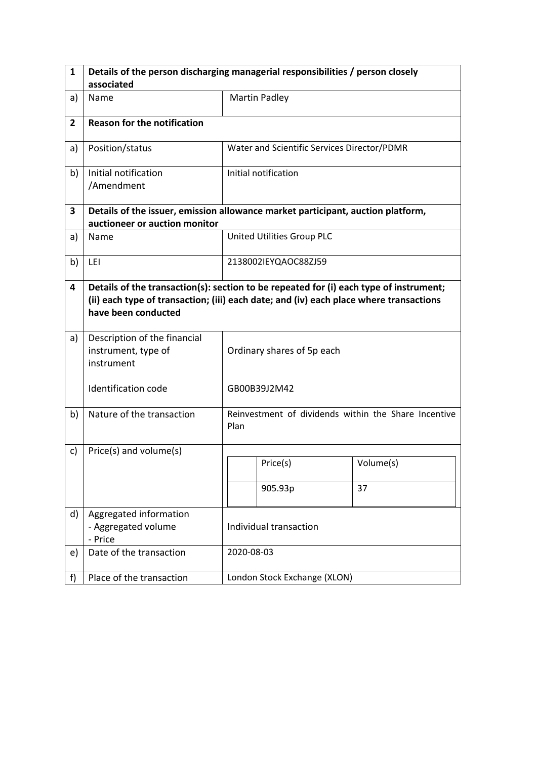| 1              | Details of the person discharging managerial responsibilities / person closely                                                                                                                          |                                                              |                                             |           |  |
|----------------|---------------------------------------------------------------------------------------------------------------------------------------------------------------------------------------------------------|--------------------------------------------------------------|---------------------------------------------|-----------|--|
|                | associated                                                                                                                                                                                              |                                                              |                                             |           |  |
| a)             | Name                                                                                                                                                                                                    |                                                              | <b>Martin Padley</b>                        |           |  |
| $\overline{2}$ | <b>Reason for the notification</b>                                                                                                                                                                      |                                                              |                                             |           |  |
| a)             | Position/status                                                                                                                                                                                         |                                                              | Water and Scientific Services Director/PDMR |           |  |
| b)             | Initial notification<br>/Amendment                                                                                                                                                                      |                                                              | Initial notification                        |           |  |
| 3              | Details of the issuer, emission allowance market participant, auction platform,                                                                                                                         |                                                              |                                             |           |  |
|                | auctioneer or auction monitor                                                                                                                                                                           |                                                              |                                             |           |  |
| a)             | Name                                                                                                                                                                                                    |                                                              | United Utilities Group PLC                  |           |  |
| b)             | LEI                                                                                                                                                                                                     |                                                              | 2138002IEYQAOC88ZJ59                        |           |  |
| 4              | Details of the transaction(s): section to be repeated for (i) each type of instrument;<br>(ii) each type of transaction; (iii) each date; and (iv) each place where transactions<br>have been conducted |                                                              |                                             |           |  |
| a)             | Description of the financial<br>instrument, type of<br>instrument                                                                                                                                       | Ordinary shares of 5p each                                   |                                             |           |  |
|                | <b>Identification code</b>                                                                                                                                                                              | GB00B39J2M42                                                 |                                             |           |  |
| b)             | Nature of the transaction                                                                                                                                                                               | Reinvestment of dividends within the Share Incentive<br>Plan |                                             |           |  |
| c)             | Price(s) and volume(s)                                                                                                                                                                                  |                                                              |                                             |           |  |
|                |                                                                                                                                                                                                         |                                                              | Price(s)                                    | Volume(s) |  |
|                |                                                                                                                                                                                                         |                                                              | 905.93p                                     | 37        |  |
| d)             | Aggregated information<br>- Aggregated volume<br>- Price                                                                                                                                                | Individual transaction                                       |                                             |           |  |
| e)             | Date of the transaction                                                                                                                                                                                 | 2020-08-03                                                   |                                             |           |  |
| f)             | Place of the transaction                                                                                                                                                                                | London Stock Exchange (XLON)                                 |                                             |           |  |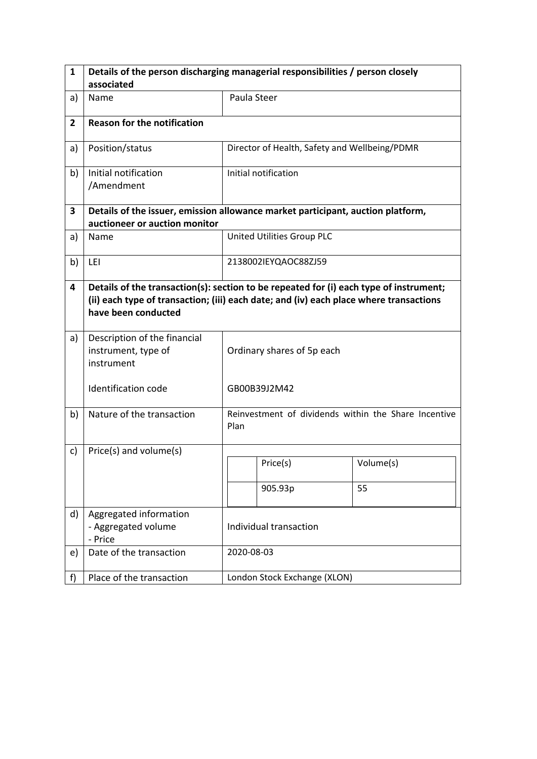| 1              | Details of the person discharging managerial responsibilities / person closely                                                                                                                          |                                                              |                                               |           |  |
|----------------|---------------------------------------------------------------------------------------------------------------------------------------------------------------------------------------------------------|--------------------------------------------------------------|-----------------------------------------------|-----------|--|
|                | associated                                                                                                                                                                                              |                                                              |                                               |           |  |
| a)             | Name                                                                                                                                                                                                    | Paula Steer                                                  |                                               |           |  |
| $\overline{2}$ | <b>Reason for the notification</b>                                                                                                                                                                      |                                                              |                                               |           |  |
| a)             | Position/status                                                                                                                                                                                         |                                                              | Director of Health, Safety and Wellbeing/PDMR |           |  |
| b)             | Initial notification<br>/Amendment                                                                                                                                                                      |                                                              | Initial notification                          |           |  |
| 3              | Details of the issuer, emission allowance market participant, auction platform,                                                                                                                         |                                                              |                                               |           |  |
|                | auctioneer or auction monitor                                                                                                                                                                           |                                                              |                                               |           |  |
| a)             | Name                                                                                                                                                                                                    |                                                              | United Utilities Group PLC                    |           |  |
| b)             | LEI                                                                                                                                                                                                     |                                                              | 2138002IEYQAOC88ZJ59                          |           |  |
| 4              | Details of the transaction(s): section to be repeated for (i) each type of instrument;<br>(ii) each type of transaction; (iii) each date; and (iv) each place where transactions<br>have been conducted |                                                              |                                               |           |  |
| a)             | Description of the financial<br>instrument, type of<br>instrument                                                                                                                                       | Ordinary shares of 5p each                                   |                                               |           |  |
|                | <b>Identification code</b>                                                                                                                                                                              | GB00B39J2M42                                                 |                                               |           |  |
| b)             | Nature of the transaction                                                                                                                                                                               | Reinvestment of dividends within the Share Incentive<br>Plan |                                               |           |  |
| c)             | Price(s) and volume(s)                                                                                                                                                                                  |                                                              |                                               |           |  |
|                |                                                                                                                                                                                                         |                                                              | Price(s)                                      | Volume(s) |  |
|                |                                                                                                                                                                                                         |                                                              | 905.93p                                       | 55        |  |
| d)             | Aggregated information<br>- Aggregated volume<br>- Price                                                                                                                                                | Individual transaction                                       |                                               |           |  |
| e)             | Date of the transaction                                                                                                                                                                                 | 2020-08-03                                                   |                                               |           |  |
| f)             | Place of the transaction                                                                                                                                                                                | London Stock Exchange (XLON)                                 |                                               |           |  |